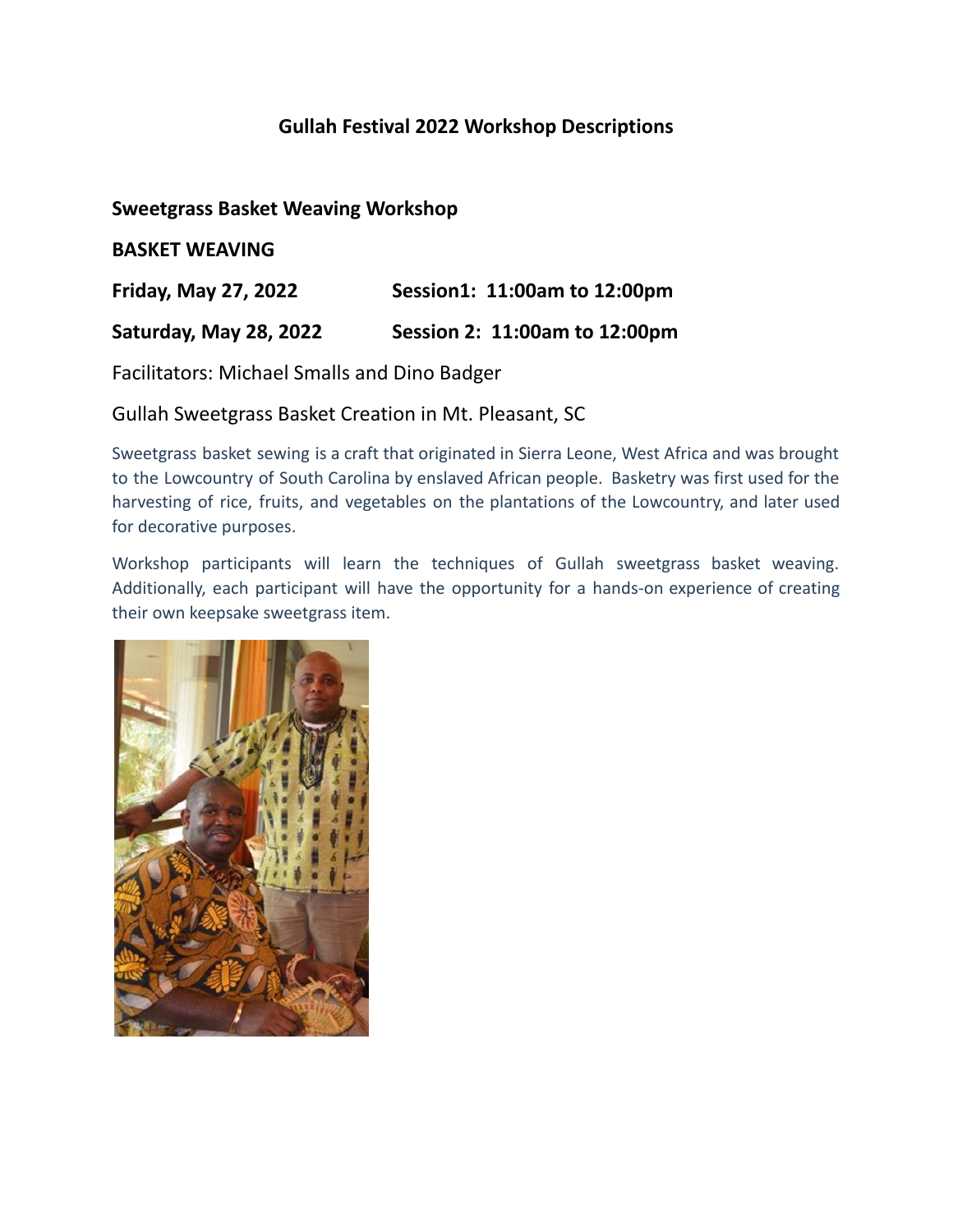## **Gullah Festival 2022 Workshop Descriptions**

### **Sweetgrass Basket Weaving Workshop**

**BASKET WEAVING**

**Friday, May 27, 2022 Session1: 11:00am to 12:00pm**

**Saturday, May 28, 2022 Session 2: 11:00am to 12:00pm**

Facilitators: Michael Smalls and Dino Badger

Gullah Sweetgrass Basket Creation in Mt. Pleasant, SC

Sweetgrass basket sewing is a craft that originated in Sierra Leone, West Africa and was brought to the Lowcountry of South Carolina by enslaved African people. Basketry was first used for the harvesting of rice, fruits, and vegetables on the plantations of the Lowcountry, and later used for decorative purposes.

Workshop participants will learn the techniques of Gullah sweetgrass basket weaving. Additionally, each participant will have the opportunity for a hands-on experience of creating their own keepsake sweetgrass item.

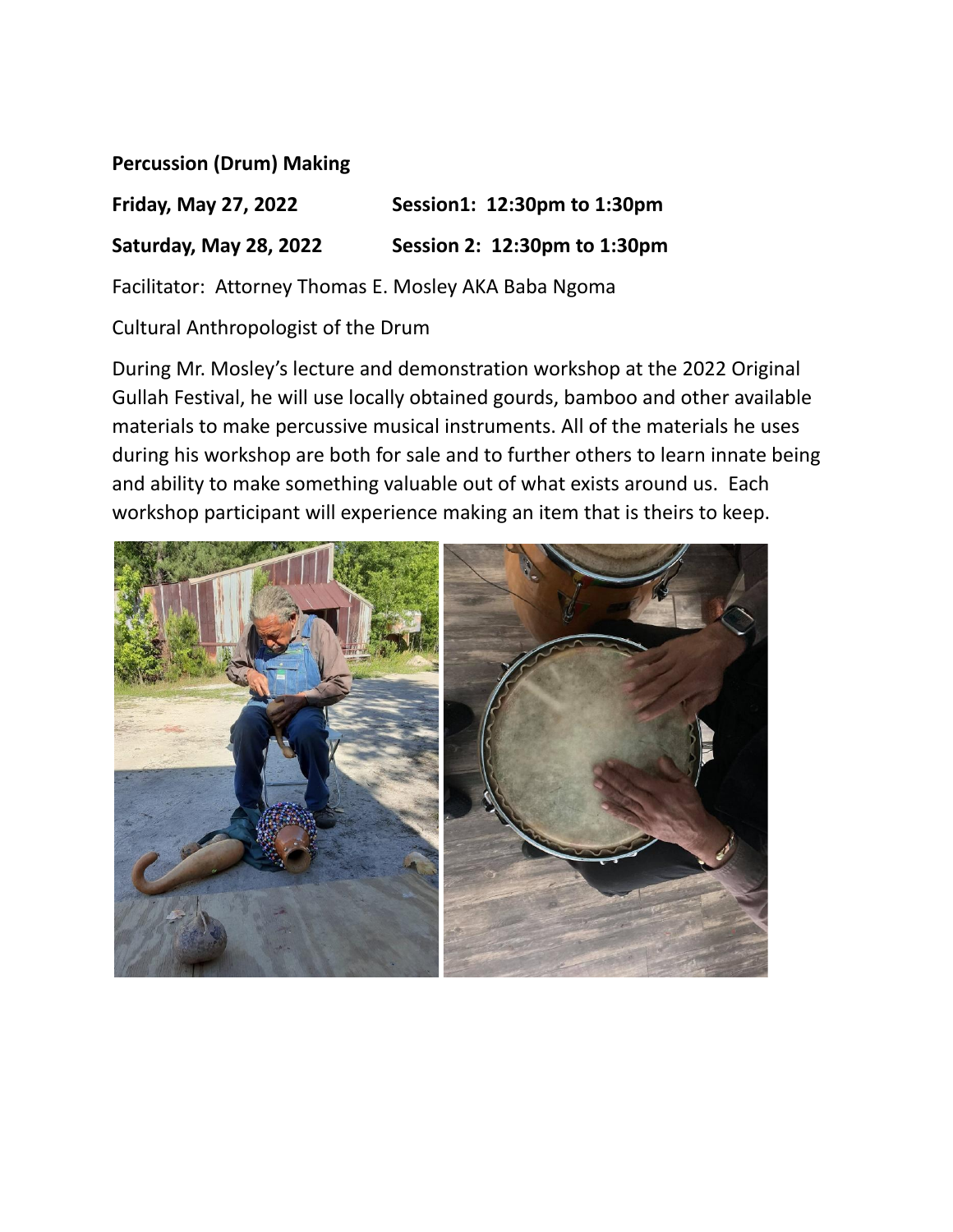**Percussion (Drum) Making**

**Friday, May 27, 2022 Session1: 12:30pm to 1:30pm Saturday, May 28, 2022 Session 2: 12:30pm to 1:30pm**

Facilitator: Attorney Thomas E. Mosley AKA Baba Ngoma

Cultural Anthropologist of the Drum

During Mr. Mosley's lecture and demonstration workshop at the 2022 Original Gullah Festival, he will use locally obtained gourds, bamboo and other available materials to make percussive musical instruments. All of the materials he uses during his workshop are both for sale and to further others to learn innate being and ability to make something valuable out of what exists around us. Each workshop participant will experience making an item that is theirs to keep.

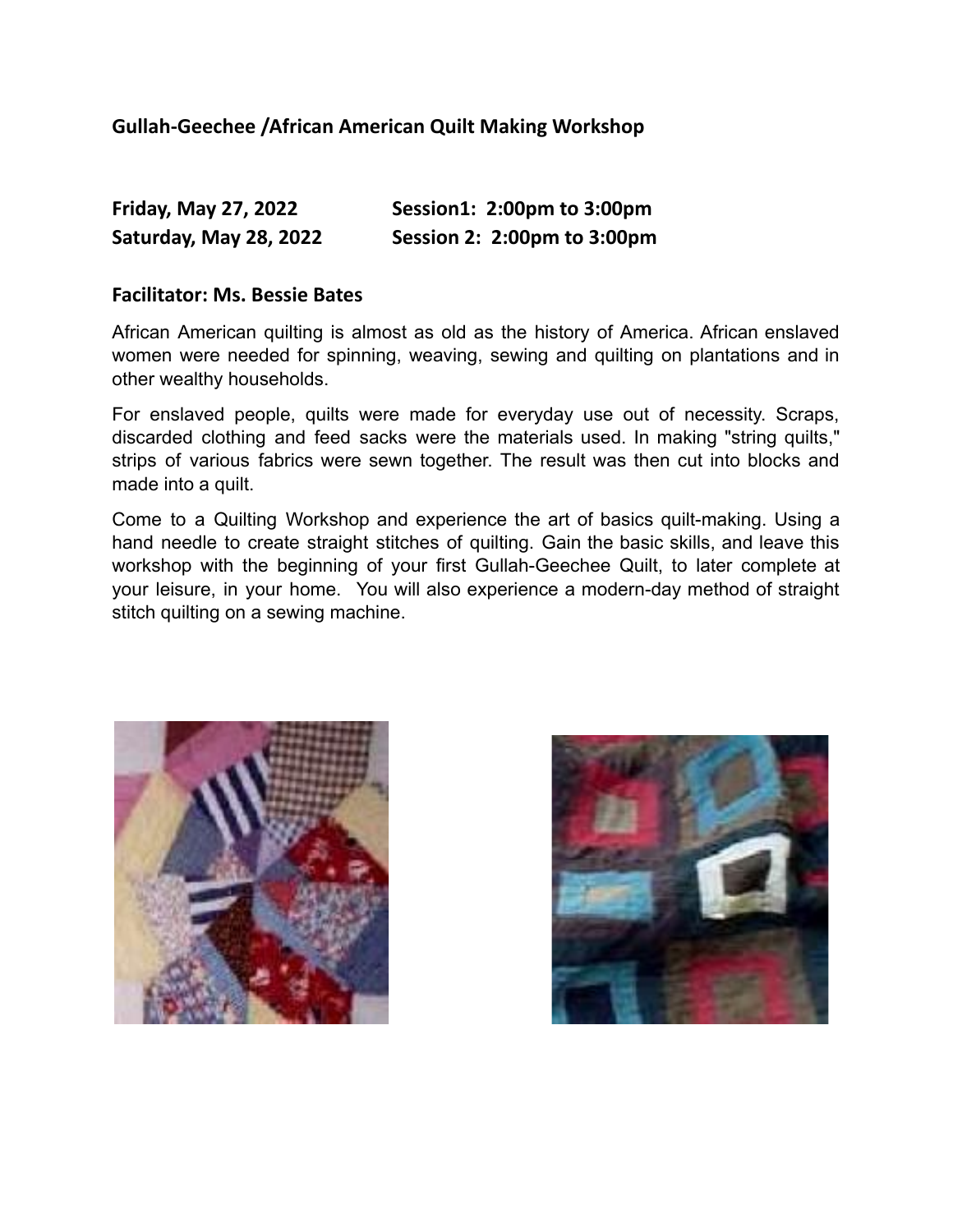### **Gullah-Geechee /African American Quilt Making Workshop**

| <b>Friday, May 27, 2022</b> | Session1: 2:00pm to 3:00pm  |
|-----------------------------|-----------------------------|
| Saturday, May 28, 2022      | Session 2: 2:00pm to 3:00pm |

#### **Facilitator: Ms. Bessie Bates**

African American quilting is almost as old as the history of America. African enslaved women were needed for spinning, weaving, sewing and quilting on plantations and in other wealthy households.

For enslaved people, quilts were made for everyday use out of necessity. Scraps, discarded clothing and feed sacks were the materials used. In making "string quilts," strips of various fabrics were sewn together. The result was then cut into blocks and made into a quilt.

Come to a Quilting Workshop and experience the art of basics quilt-making. Using a hand needle to create straight stitches of quilting. Gain the basic skills, and leave this workshop with the beginning of your first Gullah-Geechee Quilt, to later complete at your leisure, in your home. You will also experience a modern-day method of straight stitch quilting on a sewing machine.